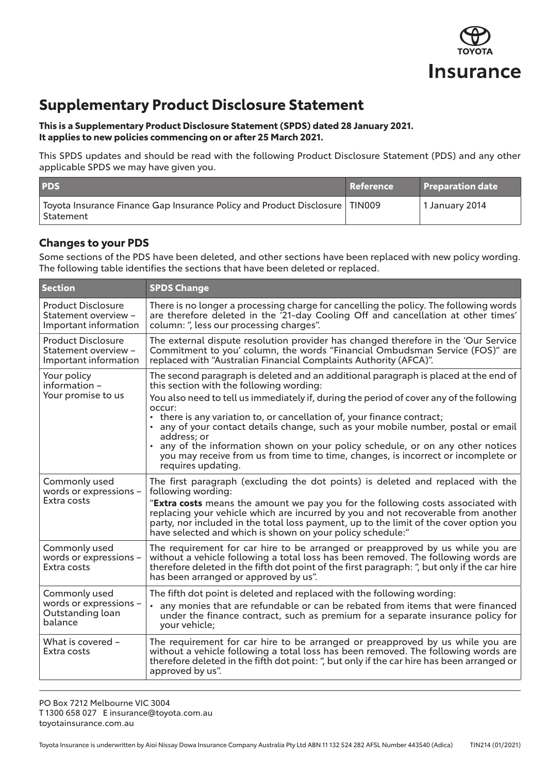

## **Supplementary Product Disclosure Statement**

**This is a Supplementary Product Disclosure Statement (SPDS) dated 28 January 2021. It applies to new policies commencing on or after 25 March 2021.** 

This SPDS updates and should be read with the following Product Disclosure Statement (PDS) and any other applicable SPDS we may have given you.

| <b>PDS</b>                                                                                            | Reference | Preparation date |
|-------------------------------------------------------------------------------------------------------|-----------|------------------|
| $^\dagger$ Toyota Insurance Finance Gap Insurance Policy and Product Disclosure TIN009<br>. Statement |           | 1 January 2014   |

## **Changes to your PDS**

Some sections of the PDS have been deleted, and other sections have been replaced with new policy wording. The following table identifies the sections that have been deleted or replaced.

| <b>Section</b>                                                             | <b>SPDS Change</b>                                                                                                                                                                                                                                                                                                            |
|----------------------------------------------------------------------------|-------------------------------------------------------------------------------------------------------------------------------------------------------------------------------------------------------------------------------------------------------------------------------------------------------------------------------|
| <b>Product Disclosure</b><br>Statement overview -<br>Important information | There is no longer a processing charge for cancelling the policy. The following words<br>are therefore deleted in the '21-day Cooling Off and cancellation at other times'<br>column: ", less our processing charges".                                                                                                        |
| <b>Product Disclosure</b><br>Statement overview -<br>Important information | The external dispute resolution provider has changed therefore in the 'Our Service<br>Commitment to you' column, the words "Financial Ombudsman Service (FOS)" are<br>replaced with "Australian Financial Complaints Authority (AFCA)".                                                                                       |
| Your policy<br>information -<br>Your promise to us                         | The second paragraph is deleted and an additional paragraph is placed at the end of<br>this section with the following wording:                                                                                                                                                                                               |
|                                                                            | You also need to tell us immediately if, during the period of cover any of the following<br>occur:<br>• there is any variation to, or cancellation of, your finance contract;<br>• any of your contact details change, such as your mobile number, postal or email<br>address; or                                             |
|                                                                            | • any of the information shown on your policy schedule, or on any other notices<br>you may receive from us from time to time, changes, is incorrect or incomplete or<br>requires updating.                                                                                                                                    |
| Commonly used<br>words or expressions -<br>Extra costs                     | The first paragraph (excluding the dot points) is deleted and replaced with the<br>following wording:                                                                                                                                                                                                                         |
|                                                                            | "Extra costs means the amount we pay you for the following costs associated with<br>replacing your vehicle which are incurred by you and not recoverable from another<br>party, nor included in the total loss payment, up to the limit of the cover option you<br>have selected and which is shown on your policy schedule:" |
| Commonly used<br>words or expressions -<br>Extra costs                     | The requirement for car hire to be arranged or preapproved by us while you are<br>without a vehicle following a total loss has been removed. The following words are<br>therefore deleted in the fifth dot point of the first paragraph: ", but only if the car hire<br>has been arranged or approved by us".                 |
| Commonly used<br>words or expressions -<br>Outstanding loan<br>balance     | The fifth dot point is deleted and replaced with the following wording:<br>any monies that are refundable or can be rebated from items that were financed<br>$\bullet$<br>under the finance contract, such as premium for a separate insurance policy for<br>your vehicle;                                                    |
| What is covered -<br>Extra costs                                           | The requirement for car hire to be arranged or preapproved by us while you are<br>without a vehicle following a total loss has been removed. The following words are<br>therefore deleted in the fifth dot point: ", but only if the car hire has been arranged or<br>approved by us".                                        |

PO Box 7212 Melbourne VIC 3004 T 1300 658 027 E insurance@toyota.com.au toyotainsurance.com.au